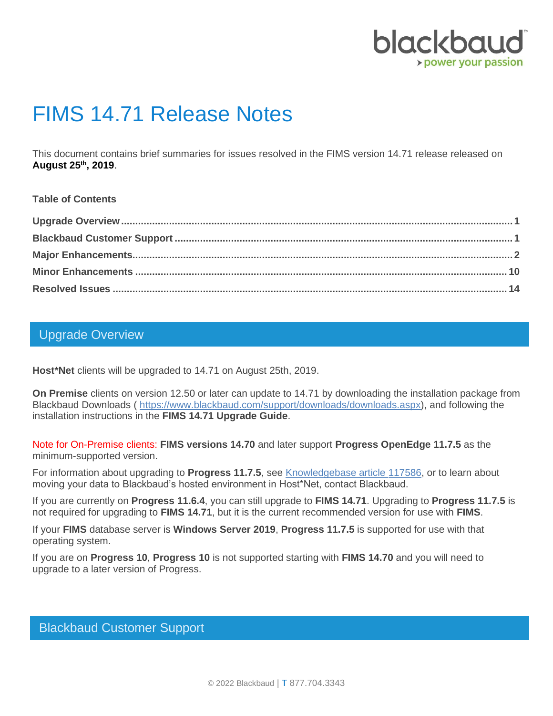

# FIMS 14.71 Release Notes

This document contains brief summaries for issues resolved in the FIMS version 14.71 release released on **August 25th, 2019**.

#### **Table of Contents**

#### <span id="page-0-0"></span>Upgrade Overview

**Host\*Net** clients will be upgraded to 14.71 on August 25th, 2019.

**On Premise** clients on version 12.50 or later can update to 14.71 by downloading the installation package from Blackbaud Downloads ( [https://www.blackbaud.com/support/downloads/downloads.aspx\)](https://www.blackbaud.com/support/downloads/downloads.aspx), and following the installation instructions in the **FIMS 14.71 Upgrade Guide**.

Note for On-Premise clients: **FIMS versions 14.70** and later support **Progress OpenEdge 11.7.5** as the minimum-supported version.

For information about upgrading to **Progress 11.7.5**, see [Knowledgebase article 117586,](https://kb.blackbaud.com/knowledgebase/articles/Article/117586) or to learn about moving your data to Blackbaud's hosted environment in Host\*Net, contact Blackbaud.

If you are currently on **Progress 11.6.4**, you can still upgrade to **FIMS 14.71**. Upgrading to **Progress 11.7.5** is not required for upgrading to **FIMS 14.71**, but it is the current recommended version for use with **FIMS**.

If your **FIMS** database server is **Windows Server 2019**, **Progress 11.7.5** is supported for use with that operating system.

If you are on **Progress 10**, **Progress 10** is not supported starting with **FIMS 14.70** and you will need to upgrade to a later version of Progress.

### <span id="page-0-1"></span>Blackbaud Customer Support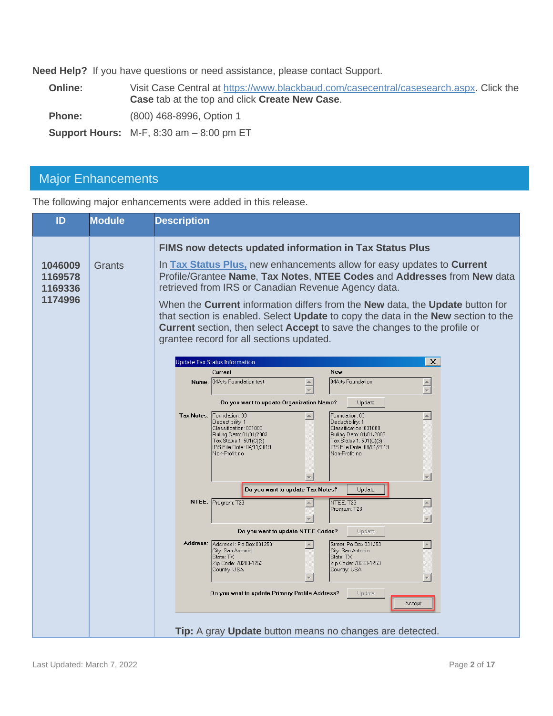**Need Help?** If you have questions or need assistance, please contact Support.

**Online:** Visit Case Central at [https://www.blackbaud.com/casecentral/casesearch.aspx.](https://www.blackbaud.com/casecentral/casesearch.aspx) Click the **Case** tab at the top and click **Create New Case**.

**Phone:** (800) 468-8996, Option 1

**Support Hours:** M-F, 8:30 am – 8:00 pm ET

## <span id="page-1-0"></span>Major Enhancements

The following major enhancements were added in this release.

| ID                                       | <b>Module</b> | <b>Description</b>                                                                                                                                                                                                                                                                                                                                                                                                                                                                                                                                                                                                                                                                                                                                                                                                                                                                                                                                                                                                                                                                                       |
|------------------------------------------|---------------|----------------------------------------------------------------------------------------------------------------------------------------------------------------------------------------------------------------------------------------------------------------------------------------------------------------------------------------------------------------------------------------------------------------------------------------------------------------------------------------------------------------------------------------------------------------------------------------------------------------------------------------------------------------------------------------------------------------------------------------------------------------------------------------------------------------------------------------------------------------------------------------------------------------------------------------------------------------------------------------------------------------------------------------------------------------------------------------------------------|
| 1046009<br>1169578<br>1169336<br>1174996 | Grants        | FIMS now detects updated information in Tax Status Plus<br>In Tax Status Plus, new enhancements allow for easy updates to Current<br>Profile/Grantee Name, Tax Notes, NTEE Codes and Addresses from New data<br>retrieved from IRS or Canadian Revenue Agency data.<br>When the <b>Current</b> information differs from the <b>New</b> data, the <b>Update</b> button for<br>that section is enabled. Select Update to copy the data in the New section to the<br><b>Current</b> section, then select <b>Accept</b> to save the changes to the profile or<br>grantee record for all sections updated.                                                                                                                                                                                                                                                                                                                                                                                                                                                                                                    |
|                                          |               | $\times$<br><b>Update Tax Status Information</b><br><b>New</b><br>Current<br>04Arts Foundation test<br>04Arts Foundation<br>Name:<br>$\overline{\mathbf{v}}$<br>Do you want to update Organization Name?<br>Update<br>Tax Notes: Foundation: 03<br>Foundation: 03<br>$\blacktriangle$<br>Deductibility: 1<br>Deductibility: 1<br>Classification: 031000<br>Classification: 031000<br>Ruling Date: 01/01/2003<br>Ruling Date: 01/01/2003<br>Tax Status 1: 501(C)(3)<br>Tax Status 1: 501(C)(3)<br>IRS File Date: 04/11/2019<br>IRS File Date: 08/01/2019<br>Non-Profit no<br>Non-Profit: no<br>$\overline{\phantom{m}}$<br>Do you want to update Tax Notes?<br>Update<br>NTEE: Program: T23<br>NTEE: T23<br>$\triangleq$<br>Program: T23<br>$\overline{\mathbf{v}}$<br>Do you want to update NTEE Codes?<br>Update<br>Address: Address1: Po Box 831253<br>Street: Po Box 831253<br>City: San Antonio<br>City: San Antonio<br>State: TX<br>State: TX<br>Zip Code: 78283-1253<br>Zip Code: 78283-1253<br>Country: USA<br>Country: USA<br>Do you want to update Primary Profile Address?<br>Update<br>Accept |
|                                          |               | Tip: A gray Update button means no changes are detected.                                                                                                                                                                                                                                                                                                                                                                                                                                                                                                                                                                                                                                                                                                                                                                                                                                                                                                                                                                                                                                                 |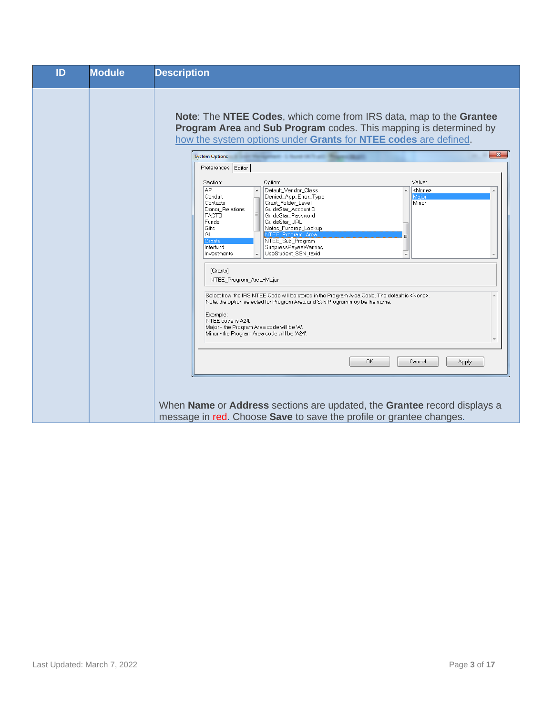| ID | Module | <b>Description</b>                                                                                                                                                                                                                                                                                                                                                                                                                                                                |
|----|--------|-----------------------------------------------------------------------------------------------------------------------------------------------------------------------------------------------------------------------------------------------------------------------------------------------------------------------------------------------------------------------------------------------------------------------------------------------------------------------------------|
|    |        | <b>Note: The NTEE Codes, which come from IRS data, map to the Grantee</b><br>Program Area and Sub Program codes. This mapping is determined by<br>how the system options under Grants for NTEE codes are defined.<br>$\mathbf{x}$<br><b>System Options</b><br>Preferences Editor                                                                                                                                                                                                  |
|    |        | Value:<br>Section:<br>Option:<br>AP<br>Default_Vendor_Class<br><none><br/>Denied_App_Error_Type<br/>Maior<br/>Conduit<br/>Grant_Folder_Level<br/>Contacts<br/>Minor<br/>GuideStar_AccountID<br/>Donor_Relations<br/>GuideStar Password<br/><b>FACTS</b><br/>Funds<br/>GuideStar_URL<br/>Gifts<br/>Notes_Fundrep_Lookup<br/>NTEE_Program_Area<br/>GL<br/><b>Grants</b><br/>NTEE_Sub_Program<br/>Interfund<br/>SuppressPayeeWarning<br/>UseStudent SSN taxid<br/>Investments</none> |
|    |        | [Grants]<br>NTEE_Program_Area=Major<br>Select how the IRS NTEE Code will be stored in the Program Area Code. The default is <none>.<br/>Note: the option selected for Program Area and Sub Program may be the same.<br/>Example:<br/>NTEE code is A24.<br/>Major - the Program Area code will be 'A'.<br/>Minor - the Program Area code will be 'A24'.</none>                                                                                                                     |
|    |        | OK<br>Cancel<br>Apply                                                                                                                                                                                                                                                                                                                                                                                                                                                             |
|    |        | When Name or Address sections are updated, the Grantee record displays a<br>message in red. Choose Save to save the profile or grantee changes.                                                                                                                                                                                                                                                                                                                                   |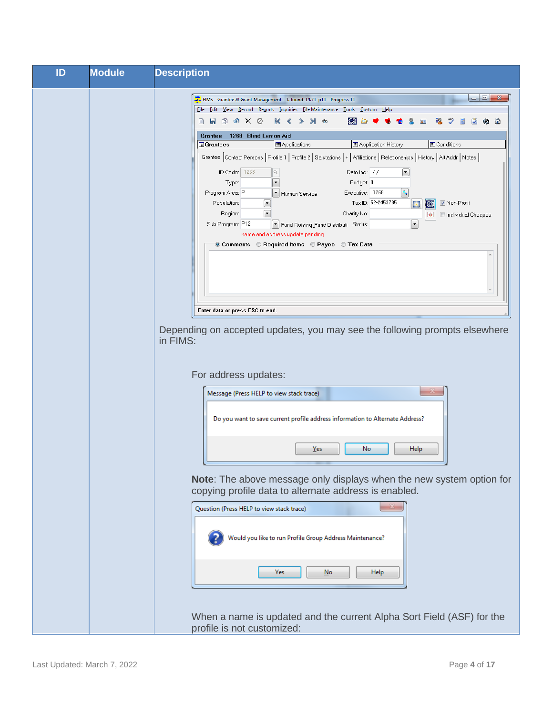| ID | <b>Module</b> | <b>Description</b>                                                                                                                                                                                                                                                                                                                                                                                                                                                                                                                                                                                                                                                                                                                                                                              |
|----|---------------|-------------------------------------------------------------------------------------------------------------------------------------------------------------------------------------------------------------------------------------------------------------------------------------------------------------------------------------------------------------------------------------------------------------------------------------------------------------------------------------------------------------------------------------------------------------------------------------------------------------------------------------------------------------------------------------------------------------------------------------------------------------------------------------------------|
|    |               | $\begin{array}{c c c c c} \hline \multicolumn{3}{c }{\mathbf{m}} & \multicolumn{3}{c }{\mathbf{m}} & \multicolumn{3}{c }{\mathbf{m}} & \multicolumn{3}{c }{\mathbf{m}} & \multicolumn{3}{c }{\mathbf{m}} & \multicolumn{3}{c }{\mathbf{m}} & \multicolumn{3}{c }{\mathbf{m}} & \multicolumn{3}{c }{\mathbf{m}} & \multicolumn{3}{c }{\mathbf{m}} & \multicolumn{3}{c }{\mathbf{m}} & \multicolumn{3}{c }{\mathbf{m}} & \multicolumn{3}{c }{\mathbf{m$<br>FIMS - Grantee & Grant Management - 1. found-14.71-p11 - Progress 11<br>File Edit View Record Reports Inquiries File Maintenance Tools Custom<br>$H$ elp                                                                                                                                                                               |
|    |               | $\Box$ <b>H</b> $\Box$ G $\times$ 0<br>频源<br>K<br><b>Ro</b><br>℠<br>⋒<br>1268 Blind Lemon Aid<br>Grantee                                                                                                                                                                                                                                                                                                                                                                                                                                                                                                                                                                                                                                                                                        |
|    |               | Application History<br><b>ED</b> Conditions<br><b>Grantees</b><br><b>ED</b> Applications<br>Grantee Contact Persons   Profile 1   Profile 2   Salutations   +   Affiliations   Relationships   History   Alt Addr   Notes  <br>ID Code: 1268<br>Date Inc.: //<br>$\boxed{\blacksquare}$<br>Budget: 0<br>Type:<br>$\boxed{\circ}$<br>Program Area: P<br>Executive: 1268<br>* Human Service<br>Tax ID: 52-2453785<br>$\boxed{\mathbf{r}}$<br><b>▽</b> Non-Profit<br>Population:<br><b>EM</b><br>B<br>$\overline{\phantom{0}}$<br>Charity No:<br>Region:<br>Individual Cheques<br>ÞИ<br>$\boxed{\blacksquare}$<br>Sub Program: P12<br>Find Raising Fund Distributi Status:<br>name and address update pending<br>© Comments © Required Items © Payee © Tax Data<br>Enter data or press ESC to end. |
|    |               | Depending on accepted updates, you may see the following prompts elsewhere<br>in FIMS:<br>For address updates:                                                                                                                                                                                                                                                                                                                                                                                                                                                                                                                                                                                                                                                                                  |
|    |               | $\mathbb{Z}$<br>Message (Press HELP to view stack trace)<br>Do you want to save current profile address information to Alternate Address?                                                                                                                                                                                                                                                                                                                                                                                                                                                                                                                                                                                                                                                       |
|    |               | No<br><b>Help</b><br>Yes                                                                                                                                                                                                                                                                                                                                                                                                                                                                                                                                                                                                                                                                                                                                                                        |
|    |               | Note: The above message only displays when the new system option for<br>copying profile data to alternate address is enabled.                                                                                                                                                                                                                                                                                                                                                                                                                                                                                                                                                                                                                                                                   |
|    |               | Question (Press HELP to view stack trace)<br>Would you like to run Profile Group Address Maintenance?                                                                                                                                                                                                                                                                                                                                                                                                                                                                                                                                                                                                                                                                                           |
|    |               | <b>Help</b><br>Yes<br>No                                                                                                                                                                                                                                                                                                                                                                                                                                                                                                                                                                                                                                                                                                                                                                        |
|    |               | When a name is updated and the current Alpha Sort Field (ASF) for the<br>profile is not customized:                                                                                                                                                                                                                                                                                                                                                                                                                                                                                                                                                                                                                                                                                             |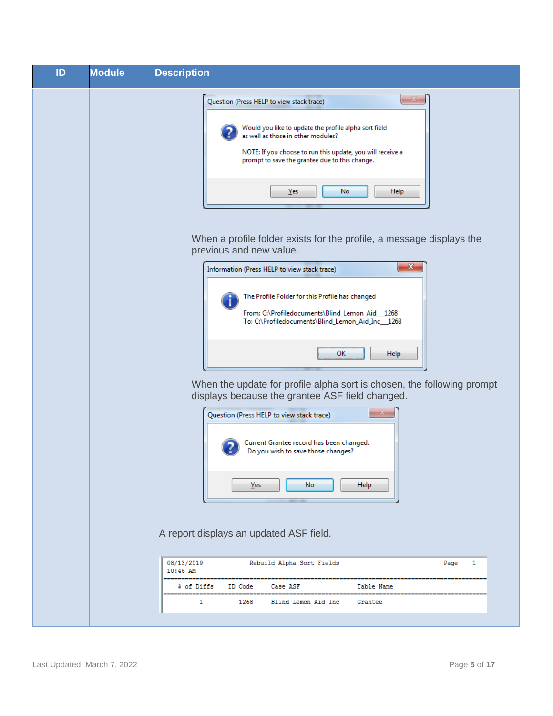| ID | <b>Module</b> | <b>Description</b>                                                                                                                                                                                                                                                                                                                                           |
|----|---------------|--------------------------------------------------------------------------------------------------------------------------------------------------------------------------------------------------------------------------------------------------------------------------------------------------------------------------------------------------------------|
|    |               | Question (Press HELP to view stack trace)<br>Would you like to update the profile alpha sort field<br>as well as those in other modules?<br>NOTE: If you choose to run this update, you will receive a<br>prompt to save the grantee due to this change.<br>No<br><b>Help</b><br>Yes<br>When a profile folder exists for the profile, a message displays the |
|    |               | previous and new value.<br>$\mathbf{x}$<br>Information (Press HELP to view stack trace)<br>The Profile Folder for this Profile has changed<br>From: C:\Profiledocuments\Blind_Lemon_Aid_1268                                                                                                                                                                 |
|    |               | To: C:\Profiledocuments\Blind_Lemon_Aid_Inc__1268<br>ОΚ<br>Help<br>When the update for profile alpha sort is chosen, the following prompt                                                                                                                                                                                                                    |
|    |               | displays because the grantee ASF field changed.<br>Question (Press HELP to view stack trace)<br>Current Grantee record has been changed.<br>Do you wish to save those changes?                                                                                                                                                                               |
|    |               | No<br>Yes<br><b>Help</b><br>A report displays an updated ASF field.                                                                                                                                                                                                                                                                                          |
|    |               | 08/13/2019<br>Rebuild Alpha Sort Fields<br>Page<br>1<br>10:46 AM                                                                                                                                                                                                                                                                                             |
|    |               | # of Diffs<br>ID Code<br>Case ASF<br>Table Name<br>1<br>1268<br>Blind Lemon Aid Inc<br>Grantee                                                                                                                                                                                                                                                               |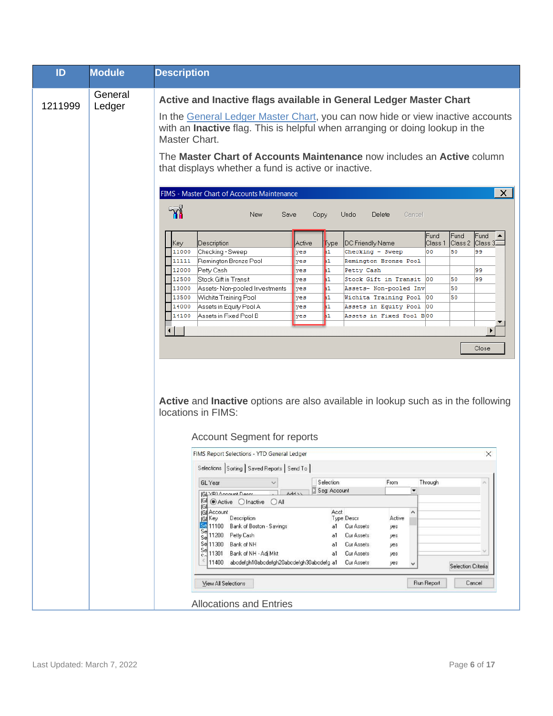| ID      | <b>Module</b>     | <b>Description</b>                                                                                                                                                                                                                                                                                                                                                                                                                                                                                                                                                                                                                                                                                                                                                                                                                                                                                                                                                                                                                                                                                                                                      |
|---------|-------------------|---------------------------------------------------------------------------------------------------------------------------------------------------------------------------------------------------------------------------------------------------------------------------------------------------------------------------------------------------------------------------------------------------------------------------------------------------------------------------------------------------------------------------------------------------------------------------------------------------------------------------------------------------------------------------------------------------------------------------------------------------------------------------------------------------------------------------------------------------------------------------------------------------------------------------------------------------------------------------------------------------------------------------------------------------------------------------------------------------------------------------------------------------------|
| 1211999 | General<br>Ledger | Active and Inactive flags available in General Ledger Master Chart<br>In the General Ledger Master Chart, you can now hide or view inactive accounts<br>with an Inactive flag. This is helpful when arranging or doing lookup in the<br>Master Chart.<br>The Master Chart of Accounts Maintenance now includes an Active column<br>that displays whether a fund is active or inactive.                                                                                                                                                                                                                                                                                                                                                                                                                                                                                                                                                                                                                                                                                                                                                                  |
|         |                   | $\times$<br>FIMS - Master Chart of Accounts Maintenance<br>ห<br>New<br>Save<br>Copy<br>Undo<br>Delete<br>Cancel<br>Fund<br>Fund<br>Fund<br>Class 2<br> Class 3D<br>DC Friendly Name<br>Class 1<br>Description<br>Active<br>Key.<br><b>Type</b><br>Checking - Sweep<br>50<br>11000<br>yes<br>11<br>Checking - Sweep<br>00<br>99<br>Remington Bronze Pool<br>11<br>11111<br>yes<br>Remington Bronze Pool<br>Petty Cash<br>12000<br>$\mathbf{1}$<br>99<br>Petty Cash<br>yes<br>Stock Gift in Transit<br>h1<br>12500<br>50<br>99<br>yes<br>Stock Gift in Transit<br>100<br>h1<br>13000<br>Assets-Non-pooled Investments<br>Assets- Non-pooled Inv<br>50<br>yes<br>Wichita Training Pool<br>50<br>13500<br>h1<br>Wichita Training Pool  00<br>yes<br>Assets in Equity Pool A<br>14000<br>11<br>Assets in Equity Pool<br>yes<br>100<br>Assets in Fixed Pool B<br>h1.<br>14100<br>yes<br>Assets in Fixed Pool B00<br>$\blacktriangleleft$<br>Close<br>Active and Inactive options are also available in lookup such as in the following<br>locations in FIMS:<br><b>Account Segment for reports</b><br>FIMS Report Selections - YTD General Ledger<br>$\times$ |
|         |                   | Selections Sorting Saved Reports Send To  <br>Selection<br>From<br>Through<br>GL Year<br>$\checkmark$<br>Seg: Account<br>$\overline{\phantom{a}}$<br>$\sqrt{4d}$<br>G YRLAccount Descri<br>(G ) Active O Inactive O All<br>1GI.<br><b>GI</b> Account<br>Acct<br>^<br>Description<br>Type Descr<br>Active<br>∫G(Key<br><b>SE</b> 11100 Bank of Boston - Savings<br>a1 Cur Assets<br>yes<br>Se 11200 Petty Cash<br>a1 Cur Assets<br>yes<br>Se 11300 Bank of NH<br>Cur Assets<br>a1<br>yes<br>Se 11301 Bank of NH - Adj Mkt<br>a1 Cur Assets<br>yes<br>11400 abcdefgh10abcdefgh20abcdefgh30abcdefg a1 Cur Assets<br>yes<br>v<br>Selection Criteria<br>Run Report<br>Cancel<br>View All Selections<br><b>Allocations and Entries</b>                                                                                                                                                                                                                                                                                                                                                                                                                        |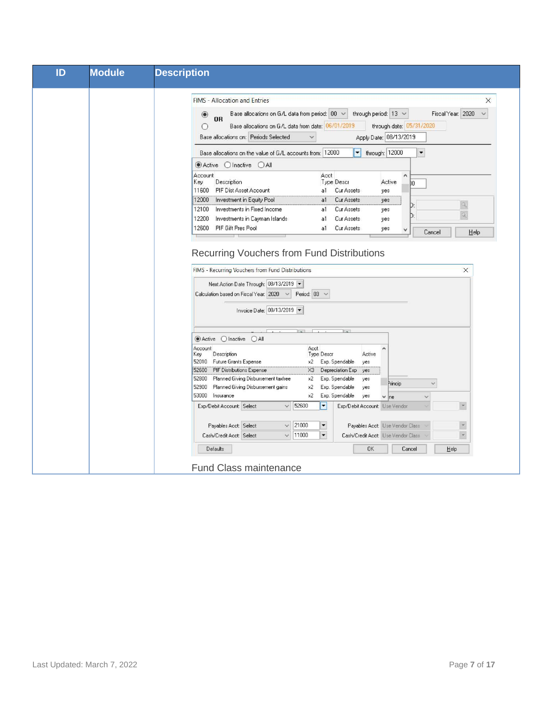| ID | <b>Module</b> | <b>Description</b>                                                                                                                                                                                                                                                                                                                                                                                  |
|----|---------------|-----------------------------------------------------------------------------------------------------------------------------------------------------------------------------------------------------------------------------------------------------------------------------------------------------------------------------------------------------------------------------------------------------|
|    |               | $\times$<br><b>FIMS - Allocation and Entries</b><br>Fiscal Year: 2020<br>Base allocations on G/L data from period: 00 $\sim$<br>through period: $13 \sim$<br>$\checkmark$<br>$\circledcirc$<br><b>OR</b><br>Base allocations on G/L data from date: 06/01/2019<br>through date: 05/31/2020<br>O<br>Apply Date: 08/13/2019<br>Base allocations on: Periods Selected                                  |
|    |               | through: 12000<br>Base allocations on the value of G/L accounts from: 12000<br>▼<br>۰<br>● Active O Inactive O All                                                                                                                                                                                                                                                                                  |
|    |               | Account<br>Acct<br>۸<br>Description<br>Key<br><b>Type Descr</b><br>Active<br>DO<br>PIF Dist Asset Account<br>11600<br>a1<br>Cur Assets<br>yes<br>Investment in Equity Pool<br>Cur Assets<br>12000<br>a1<br>yes<br>9,<br>D<br>12100<br>Investments in Fixed Income<br><b>Cur Assets</b><br>a1<br>yes<br>Q.<br>D.<br>12200<br>Investments in Cayman Islands<br>Cur Assets<br>a1<br>yes                |
|    |               | PIF Gift Pres Pool<br>12600<br>Cur Assets<br>a1<br>yes<br>v<br>Cancel<br>Help                                                                                                                                                                                                                                                                                                                       |
|    |               | <b>Recurring Vouchers from Fund Distributions</b><br>FIMS - Recurring Vouchers from Fund Distributions<br>$\times$<br>Next Action Date Through: 08/13/2019<br>Calculation based on Fiscal Year: 2020 v Period: 03 v<br>Invoice Date: 08/13/2019                                                                                                                                                     |
|    |               | $O$ All<br>$O$ Inactive<br>Active                                                                                                                                                                                                                                                                                                                                                                   |
|    |               | Account<br>Acct<br>Description<br><b>Type Descr</b><br>Active<br>Key<br>52010<br>Future Grants Expense<br>Exp. Spendable<br>x2<br>yes<br>PIF Distributions Expense<br>X3<br>52600<br>Depreciation Exp<br>yes<br>Planned Giving Disbursement taxfree<br>x2<br>Exp. Spendable<br>52800<br>yes<br>Princip<br>$\checkmark$<br>Planned Giving Disbursement gains<br>Exp. Spendable<br>52900<br>x2<br>yes |
|    |               | 53000<br>Insurance<br>Exp. Spendable<br>х2<br>yes<br>$\times$ ne<br>$\ddot{\phantom{0}}$<br>$\overline{\phantom{a}}$<br>52600<br>Exp/Debit Account: Select<br>$\blacktriangledown$<br>Exp/Debit Account: Use Vendor<br>$\checkmark$                                                                                                                                                                 |
|    |               | 21000<br>Payables Acct: Use Vendor Class<br>$\overline{\phantom{a}}$<br>Payables Acct: Select<br>▼<br>$\checkmark$<br>$\overline{ }$<br>$\overline{\phantom{0}}$<br>11000<br>Cash/Credit Acct: Select<br>Cash/Credit Acct: Use Vendor Class<br>$\checkmark$                                                                                                                                         |
|    |               | Defaults<br>0K<br>Cancel<br>Help                                                                                                                                                                                                                                                                                                                                                                    |
|    |               | <b>Fund Class maintenance</b>                                                                                                                                                                                                                                                                                                                                                                       |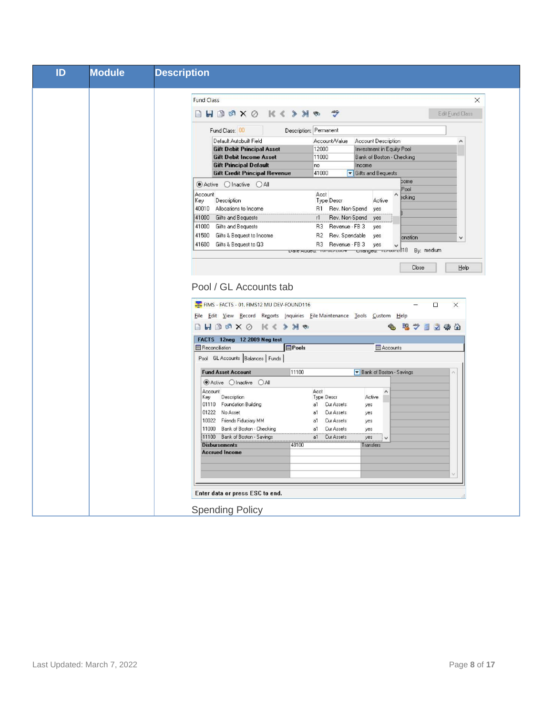| ID | <b>Module</b> | <b>Description</b>                                                                                                                                                                                                                                                                                                                                                                  |
|----|---------------|-------------------------------------------------------------------------------------------------------------------------------------------------------------------------------------------------------------------------------------------------------------------------------------------------------------------------------------------------------------------------------------|
|    |               |                                                                                                                                                                                                                                                                                                                                                                                     |
|    |               | <b>Fund Class</b><br>$\times$                                                                                                                                                                                                                                                                                                                                                       |
|    |               | $\Box H \Box \Box X \odot K \Leftrightarrow Y \Diamond$<br>$\tilde{v}$<br>Edit Fund Class                                                                                                                                                                                                                                                                                           |
|    |               | Fund Class: 00<br>Description: Permanent                                                                                                                                                                                                                                                                                                                                            |
|    |               | Default Autobuilt Field<br>Account Description<br>Account/Value<br>۸                                                                                                                                                                                                                                                                                                                |
|    |               | <b>Gift Debit Principal Asset</b><br>12000<br>Investment in Equity Pool<br><b>Gift Debit Income Asset</b><br>11000<br>Bank of Boston - Checking                                                                                                                                                                                                                                     |
|    |               | <b>Gift Principal Default</b><br>Income<br>no                                                                                                                                                                                                                                                                                                                                       |
|    |               | <b>Gift Credit Principal Revenue</b><br>41000<br>Gifts and Bequests                                                                                                                                                                                                                                                                                                                 |
|    |               | come<br>$\odot$ Active $\odot$ Inactive $\odot$ All<br>Pool                                                                                                                                                                                                                                                                                                                         |
|    |               | Account<br>Acct<br><b>Bcking</b>                                                                                                                                                                                                                                                                                                                                                    |
|    |               | Description<br>Key<br>Type Descr<br>Active<br>40010 Allocations to Income<br>R1 Rev. Non-Spend yes                                                                                                                                                                                                                                                                                  |
|    |               | <b>Gifts and Bequests</b><br>41000<br>Rev. Non-Spend<br>r1<br>yes                                                                                                                                                                                                                                                                                                                   |
|    |               | 41000<br>Gifts and Bequests<br>R3<br>Revenue - FB 3<br>yes                                                                                                                                                                                                                                                                                                                          |
|    |               | 41500<br>Gifts & Bequest to Income<br>Rev. Spendable<br>R <sub>2</sub><br>yes<br>onation<br>$\checkmark$                                                                                                                                                                                                                                                                            |
|    |               | 41600 Gifts & Bequest to Q3<br>R3 Revenue - FB 3<br>yes                                                                                                                                                                                                                                                                                                                             |
|    |               | Date Audeu: Torocreoo+ Changeu: Teroore018<br>By: medium                                                                                                                                                                                                                                                                                                                            |
|    |               | Pool / GL Accounts tab<br>FIMS - FACTS - 01. FIMS12 MU DEV-FOUND116<br>$\Box$<br>$\times$<br>File Edit View Record Reports Inquiries File Maintenance Tools Custom Help<br>53<br>$\mathscr{S}$<br>日装全<br>日<br>FACTS 12neg 12 2009 Neg test<br><b>Reconciliation</b><br><b>Pools</b><br><b>III</b> Accounts<br>Pool GL Accounts Balances Funds                                       |
|    |               | Bank of Boston - Savings<br><b>Fund Asset Account</b><br>11100                                                                                                                                                                                                                                                                                                                      |
|    |               | ● Active Olnactive OAII                                                                                                                                                                                                                                                                                                                                                             |
|    |               | Account<br>Acct<br>$\lambda$<br>Key<br>Description<br>Type Descr<br>Active<br>01110 Foundation Building<br>Cur Assets<br>a1<br>yes<br>Cur Assets<br>01222 No Asset<br>a1<br>ves<br>10022 Friends Fiduciary MM<br>Cur Assets<br>a1<br>yes<br>11000 Bank of Boston - Checking<br>Cur Assets<br>a1<br>yes<br>11100 Bank of Boston - Savings<br>a1<br>Cur Assets<br>yes<br>$\checkmark$ |
|    |               | 48100<br><b>Disbursements</b><br>Transfers<br><b>Accrued Income</b>                                                                                                                                                                                                                                                                                                                 |
|    |               |                                                                                                                                                                                                                                                                                                                                                                                     |
|    |               | Enter data or press ESC to end.                                                                                                                                                                                                                                                                                                                                                     |
|    |               | <b>Spending Policy</b>                                                                                                                                                                                                                                                                                                                                                              |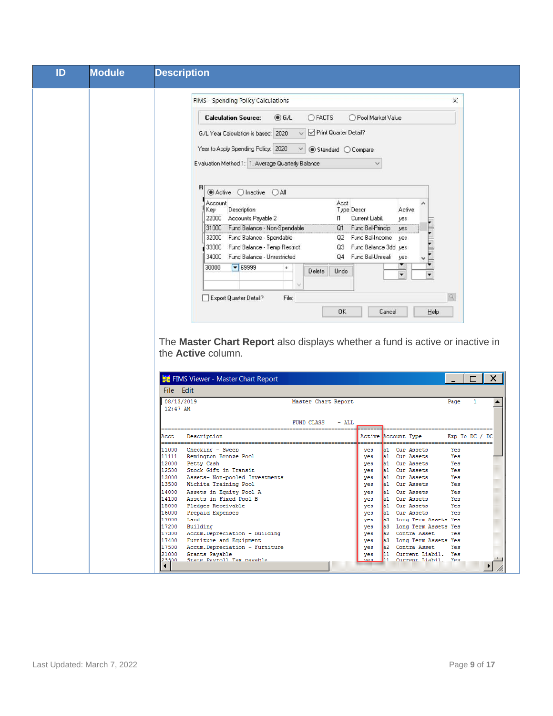| <b>Module</b><br>ID           | <b>Description</b>                                                                                                                                      |
|-------------------------------|---------------------------------------------------------------------------------------------------------------------------------------------------------|
|                               | FIMS - Spending Policy Calculations<br>$\times$                                                                                                         |
|                               | <b>Calculation Source:</b><br>O G/L<br>OFACTS<br>◯ Pool Market Value                                                                                    |
|                               | Print Quarter Detail?<br>G/L Year Calculation is based: 2020                                                                                            |
|                               | Year to Apply Spending Policy: 2020<br>● Standard ○ Compare                                                                                             |
|                               | Evaluation Method 1: 1. Average Quarterly Balance                                                                                                       |
|                               | R<br>● Active ● Inactive ● All                                                                                                                          |
|                               | Account<br>Acct<br>Description<br>Type Descr<br>Active<br>Key                                                                                           |
|                               | 22000<br>Accounts Payable 2<br>$\mathsf{I}$<br>Current Liabil.<br>yes<br>31000 Fund Balance - Non-Spendable<br>Q1 Fund Bal-Princip<br>yes               |
|                               | Fund Balance - Spendable<br>Q2 Fund Bal-Income<br>32000<br>yes                                                                                          |
|                               | Fund Balance - Temp Restrict<br>Q3 Fund Balance 3dd yes<br>33000<br>Fund Balance - Unrestricted<br>34000<br>Fund Bal-Unreali<br>Q4<br>yes               |
|                               | $\bullet$ 69999<br>30000<br>$\ddot{}$<br>Undo<br>Delete<br>٠                                                                                            |
|                               | Q<br>Export Quarter Detail?<br>File:                                                                                                                    |
|                               | <b>OK</b><br>Cancel<br>Help                                                                                                                             |
|                               |                                                                                                                                                         |
|                               | The Master Chart Report also displays whether a fund is active or inactive in                                                                           |
|                               | the <b>Active</b> column.                                                                                                                               |
|                               | FIMS Viewer - Master Chart Report<br>×<br>п                                                                                                             |
| File Edit                     |                                                                                                                                                         |
| 08/13/2019<br>12:47 AM        | Master Chart Report<br>Page<br>1                                                                                                                        |
|                               | FUND CLASS<br>- ALL                                                                                                                                     |
| Acct                          | Active Account Type<br>Exp To DC<br>DC<br>Description                                                                                                   |
| 11000<br>11111<br>12000       | Checking - Sweep<br>yes<br>Cur Assets<br>Yes<br>Remington Bronze Pool<br>yes<br>Cur Assets<br>Yes<br>a1<br>Petty Cash<br>yes<br>a1<br>Cur Assets<br>Yes |
| 12500                         | Stock Gift in Transit<br>yes<br>al Cur Assets<br>Yes<br>13000 Assets- Non-pooled Investments<br>al Cur Assets<br>yes<br>Yes                             |
|                               | 13500 Wichita Training Pool<br>al Cur Assets<br>Yes<br>yes<br>14000 Assets in Equity Pool A<br>al Cur Assets<br>Yes<br>yes                              |
|                               | 14100 Assets in Fixed Pool B<br>al Cur Assets<br>yes<br>Yes<br>15000 Pledges Receivable<br>yes al Cur Assets<br>Yes                                     |
| 17000 Land                    | 16000 Prepaid Expenses<br>al Cur Assets<br>Yes<br>yes<br>a3 Long Term Assets Yes<br>yes                                                                 |
|                               | 17200 Building<br>a3 Long Term Assets Yes<br>yes<br>17300 Accum. Depreciation - Building<br>yes a2 Contra Asset<br>Yes                                  |
|                               | 17400 Furniture and Equipment<br>a3 Long Term Assets Yes<br>yes<br>17500 Accum. Depreciation - Furniture<br>a2 Contra Asset<br>yes<br>Yes               |
| 23300<br>$\blacktriangleleft$ | 21000 Grants Pavable<br>11 Current Liabil. Yes<br>yes<br>State Pavroll Tax navable<br>11 Current Liabil. Yes<br><b>Ves</b>                              |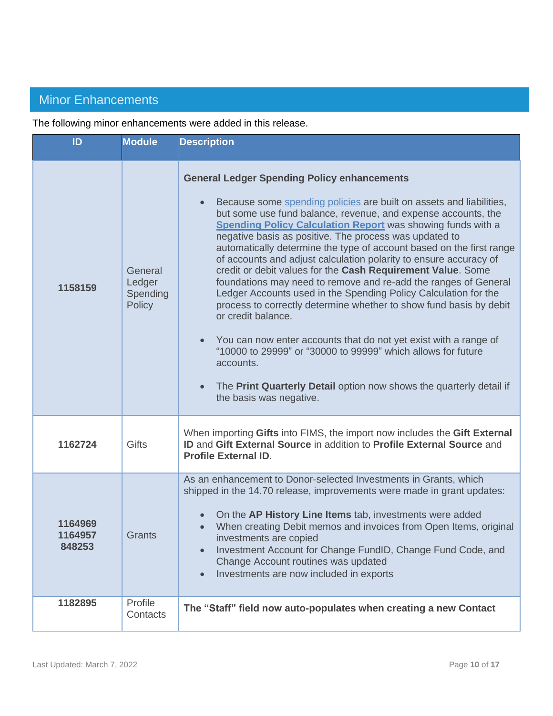## <span id="page-9-0"></span>Minor Enhancements

The following minor enhancements were added in this release.

| ID                           | <b>Module</b>                                  | <b>Description</b>                                                                                                                                                                                                                                                                                                                                                                                                                                                                                                                                                                                                                                                                                                                                                                                                                                                                                                                                                                                                          |
|------------------------------|------------------------------------------------|-----------------------------------------------------------------------------------------------------------------------------------------------------------------------------------------------------------------------------------------------------------------------------------------------------------------------------------------------------------------------------------------------------------------------------------------------------------------------------------------------------------------------------------------------------------------------------------------------------------------------------------------------------------------------------------------------------------------------------------------------------------------------------------------------------------------------------------------------------------------------------------------------------------------------------------------------------------------------------------------------------------------------------|
| 1158159                      | General<br>Ledger<br>Spending<br><b>Policy</b> | <b>General Ledger Spending Policy enhancements</b><br>Because some spending policies are built on assets and liabilities,<br>but some use fund balance, revenue, and expense accounts, the<br><b>Spending Policy Calculation Report</b> was showing funds with a<br>negative basis as positive. The process was updated to<br>automatically determine the type of account based on the first range<br>of accounts and adjust calculation polarity to ensure accuracy of<br>credit or debit values for the Cash Requirement Value. Some<br>foundations may need to remove and re-add the ranges of General<br>Ledger Accounts used in the Spending Policy Calculation for the<br>process to correctly determine whether to show fund basis by debit<br>or credit balance.<br>You can now enter accounts that do not yet exist with a range of<br>"10000 to 29999" or "30000 to 99999" which allows for future<br>accounts.<br>The Print Quarterly Detail option now shows the quarterly detail if<br>the basis was negative. |
| 1162724                      | <b>Gifts</b>                                   | When importing Gifts into FIMS, the import now includes the Gift External<br><b>ID and Gift External Source in addition to Profile External Source and</b><br><b>Profile External ID.</b>                                                                                                                                                                                                                                                                                                                                                                                                                                                                                                                                                                                                                                                                                                                                                                                                                                   |
| 1164969<br>1164957<br>848253 | Grants                                         | As an enhancement to Donor-selected Investments in Grants, which<br>shipped in the 14.70 release, improvements were made in grant updates:<br>On the AP History Line Items tab, investments were added<br>When creating Debit memos and invoices from Open Items, original<br>investments are copied<br>Investment Account for Change FundID, Change Fund Code, and<br>Change Account routines was updated<br>Investments are now included in exports<br>$\bullet$                                                                                                                                                                                                                                                                                                                                                                                                                                                                                                                                                          |
| 1182895                      | Profile<br>Contacts                            | The "Staff" field now auto-populates when creating a new Contact                                                                                                                                                                                                                                                                                                                                                                                                                                                                                                                                                                                                                                                                                                                                                                                                                                                                                                                                                            |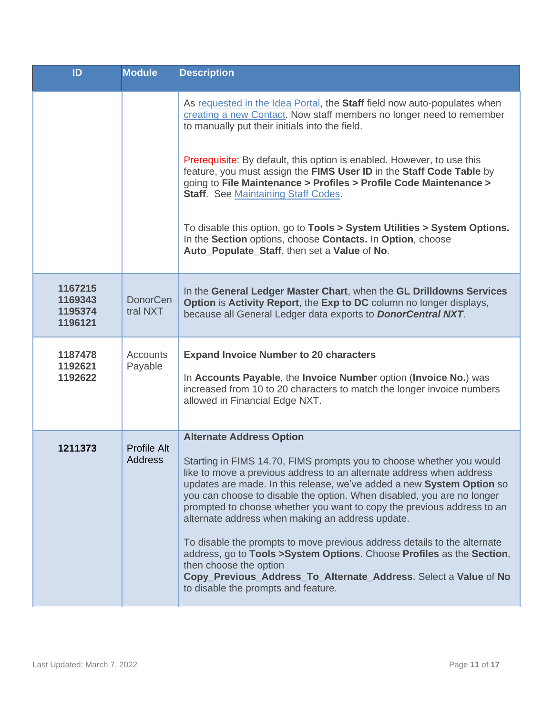| ID                                       | <b>Module</b>                 | <b>Description</b>                                                                                                                                                                                                                                                                                                                                                                                                                                                                                                                                                                                                                                                                                                                                          |
|------------------------------------------|-------------------------------|-------------------------------------------------------------------------------------------------------------------------------------------------------------------------------------------------------------------------------------------------------------------------------------------------------------------------------------------------------------------------------------------------------------------------------------------------------------------------------------------------------------------------------------------------------------------------------------------------------------------------------------------------------------------------------------------------------------------------------------------------------------|
|                                          |                               | As requested in the Idea Portal, the Staff field now auto-populates when<br>creating a new Contact. Now staff members no longer need to remember<br>to manually put their initials into the field.                                                                                                                                                                                                                                                                                                                                                                                                                                                                                                                                                          |
|                                          |                               | Prerequisite: By default, this option is enabled. However, to use this<br>feature, you must assign the FIMS User ID in the Staff Code Table by<br>going to File Maintenance > Profiles > Profile Code Maintenance ><br><b>Staff.</b> See Maintaining Staff Codes.                                                                                                                                                                                                                                                                                                                                                                                                                                                                                           |
|                                          |                               | To disable this option, go to Tools > System Utilities > System Options.<br>In the Section options, choose Contacts. In Option, choose<br>Auto Populate Staff, then set a Value of No.                                                                                                                                                                                                                                                                                                                                                                                                                                                                                                                                                                      |
| 1167215<br>1169343<br>1195374<br>1196121 | <b>DonorCen</b><br>tral NXT   | In the General Ledger Master Chart, when the GL Drilldowns Services<br>Option is Activity Report, the Exp to DC column no longer displays,<br>because all General Ledger data exports to <b>DonorCentral NXT</b> .                                                                                                                                                                                                                                                                                                                                                                                                                                                                                                                                          |
| 1187478<br>1192621<br>1192622            | <b>Accounts</b><br>Payable    | <b>Expand Invoice Number to 20 characters</b><br>In Accounts Payable, the Invoice Number option (Invoice No.) was<br>increased from 10 to 20 characters to match the longer invoice numbers<br>allowed in Financial Edge NXT.                                                                                                                                                                                                                                                                                                                                                                                                                                                                                                                               |
| 1211373                                  | Profile Alt<br><b>Address</b> | <b>Alternate Address Option</b><br>Starting in FIMS 14.70, FIMS prompts you to choose whether you would<br>like to move a previous address to an alternate address when address<br>updates are made. In this release, we've added a new System Option so<br>you can choose to disable the option. When disabled, you are no longer<br>prompted to choose whether you want to copy the previous address to an<br>alternate address when making an address update.<br>To disable the prompts to move previous address details to the alternate<br>address, go to Tools > System Options. Choose Profiles as the Section,<br>then choose the option<br>Copy_Previous_Address_To_Alternate_Address. Select a Value of No<br>to disable the prompts and feature. |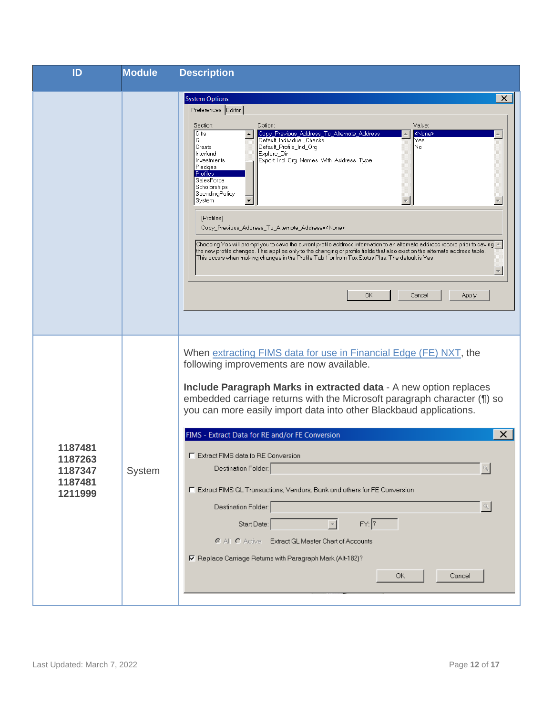| ID                                                  | <b>Module</b> | <b>Description</b>                                                                                                                                                                                                                                                                                                                                                                                                                                                                                                                                                                                                                                                                                                                                                                                                                                                                                                              |
|-----------------------------------------------------|---------------|---------------------------------------------------------------------------------------------------------------------------------------------------------------------------------------------------------------------------------------------------------------------------------------------------------------------------------------------------------------------------------------------------------------------------------------------------------------------------------------------------------------------------------------------------------------------------------------------------------------------------------------------------------------------------------------------------------------------------------------------------------------------------------------------------------------------------------------------------------------------------------------------------------------------------------|
|                                                     |               | $\times$<br><b>System Options</b><br>Preferences Editor<br>Value:<br>Section:<br>Option:<br>Gifts<br>Copy_Previous_Address_To_Alternate_Address<br><none><br/>Default_Individual_Checks<br/>GL<br/>Yes<br/>Default_Profile_Ind_Org<br/>No.<br/>Grants<br/>Interfund<br/>Explore_Dir<br/>Export_Ind_Org_Names_With_Address_Type<br/>Investments<br/>Pledges<br/>Profiles<br/>SalesForce<br/>Scholarships<br/>SpendingPolicy<br/>System<br/>[Profiles]<br/>Copy_Previous_Address_To_Alternate_Address=<none><br/>. / Choosing Yes will prompt you to save the current profile address information to an alternate address record prior to saving<br/>the new profile changes. This applies only to the changing of profile fields that also exist on the alternate address table.<br/>This occurs when making changes in the Profile Tab 1 or from Tax Status Plus. The default is Yes.<br/>OK<br/>Cancel<br/>Apply</none></none> |
| 1187481<br>1187263<br>1187347<br>1187481<br>1211999 | System        | When extracting FIMS data for use in Financial Edge (FE) NXT, the<br>following improvements are now available.<br>Include Paragraph Marks in extracted data - A new option replaces<br>embedded carriage returns with the Microsoft paragraph character (1) so<br>you can more easily import data into other Blackbaud applications.<br>FIMS - Extract Data for RE and/or FE Conversion<br>×<br>E Extract FIMS data fo RE Conversion<br>$\propto$<br>Destination Folder:<br>F Extract FIMS GL Transactions, Vendors, Bank and others for FE Conversion<br>$\propto$<br>Destination Folder:<br>$FY:$ ?<br>Start Date:<br>C All C Active Extract GL Master Chart of Accounts<br>区 Replace Carriage Returns with Paragraph Mark (Alt-182)?<br>OK<br>Cancel                                                                                                                                                                         |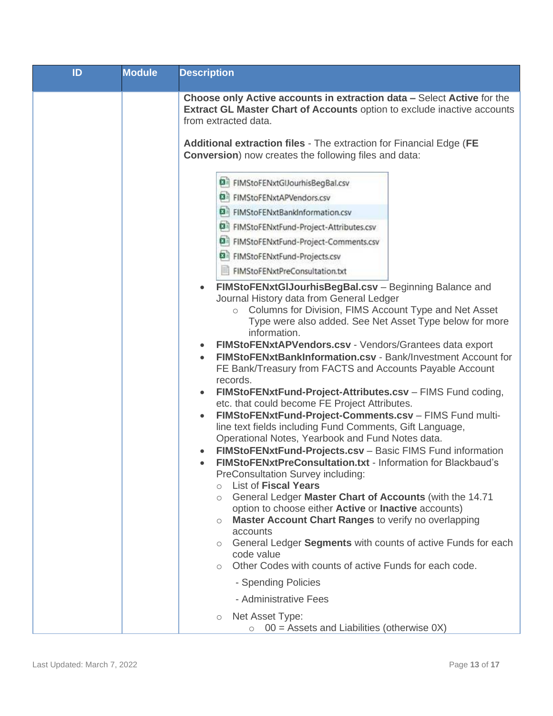| ID | <b>Module</b> | <b>Description</b>                                                                                                                                                                                                                                                                                                                                                                                                                                                                                                                                                                                                                                                                                                                                                                                                                                                                                                                                                                                                                                                                                                                                                                                                                                                                                                                                                                                       |
|----|---------------|----------------------------------------------------------------------------------------------------------------------------------------------------------------------------------------------------------------------------------------------------------------------------------------------------------------------------------------------------------------------------------------------------------------------------------------------------------------------------------------------------------------------------------------------------------------------------------------------------------------------------------------------------------------------------------------------------------------------------------------------------------------------------------------------------------------------------------------------------------------------------------------------------------------------------------------------------------------------------------------------------------------------------------------------------------------------------------------------------------------------------------------------------------------------------------------------------------------------------------------------------------------------------------------------------------------------------------------------------------------------------------------------------------|
|    |               | Choose only Active accounts in extraction data - Select Active for the<br><b>Extract GL Master Chart of Accounts option to exclude inactive accounts</b><br>from extracted data.<br>Additional extraction files - The extraction for Financial Edge (FE<br><b>Conversion</b> ) now creates the following files and data:                                                                                                                                                                                                                                                                                                                                                                                                                                                                                                                                                                                                                                                                                                                                                                                                                                                                                                                                                                                                                                                                                 |
|    |               | <sup>2</sup> FIMStoFENxtGlJourhisBegBal.csv<br>日 FIMStoFENxtAPVendors.csv<br>图 FIMStoFENxtBankInformation.csv<br>日 FIMStoFENxtFund-Project-Attributes.csv<br>国 FIMStoFENxtFund-Project-Comments.csv<br>图 FIMStoFENxtFund-Projects.csv<br>FIMStoFENxtPreConsultation.txt                                                                                                                                                                                                                                                                                                                                                                                                                                                                                                                                                                                                                                                                                                                                                                                                                                                                                                                                                                                                                                                                                                                                  |
|    |               | FIMStoFENxtGIJourhisBegBal.csv - Beginning Balance and<br>Journal History data from General Ledger<br>Columns for Division, FIMS Account Type and Net Asset<br>$\circ$<br>Type were also added. See Net Asset Type below for more<br>information.<br>FIMStoFENxtAPVendors.csv - Vendors/Grantees data export<br>FIMStoFENxtBankInformation.csv - Bank/Investment Account for<br>FE Bank/Treasury from FACTS and Accounts Payable Account<br>records.<br>FIMStoFENxtFund-Project-Attributes.csv - FIMS Fund coding,<br>$\bullet$<br>etc. that could become FE Project Attributes.<br>FIMStoFENxtFund-Project-Comments.csv - FIMS Fund multi-<br>$\bullet$<br>line text fields including Fund Comments, Gift Language,<br>Operational Notes, Yearbook and Fund Notes data.<br>FIMStoFENxtFund-Projects.csv - Basic FIMS Fund information<br><b>FIMStoFENxtPreConsultation.txt - Information for Blackbaud's</b><br>PreConsultation Survey including:<br><b>List of Fiscal Years</b><br>$\bigcirc$<br>General Ledger Master Chart of Accounts (with the 14.71<br>$\circ$<br>option to choose either Active or Inactive accounts)<br><b>Master Account Chart Ranges to verify no overlapping</b><br>$\circ$<br>accounts<br>General Ledger Segments with counts of active Funds for each<br>$\circ$<br>code value<br>Other Codes with counts of active Funds for each code.<br>$\circ$<br>- Spending Policies |
|    |               | - Administrative Fees<br>Net Asset Type:<br>$\circlearrowright$                                                                                                                                                                                                                                                                                                                                                                                                                                                                                                                                                                                                                                                                                                                                                                                                                                                                                                                                                                                                                                                                                                                                                                                                                                                                                                                                          |
|    |               | $\circ$ 00 = Assets and Liabilities (otherwise 0X)                                                                                                                                                                                                                                                                                                                                                                                                                                                                                                                                                                                                                                                                                                                                                                                                                                                                                                                                                                                                                                                                                                                                                                                                                                                                                                                                                       |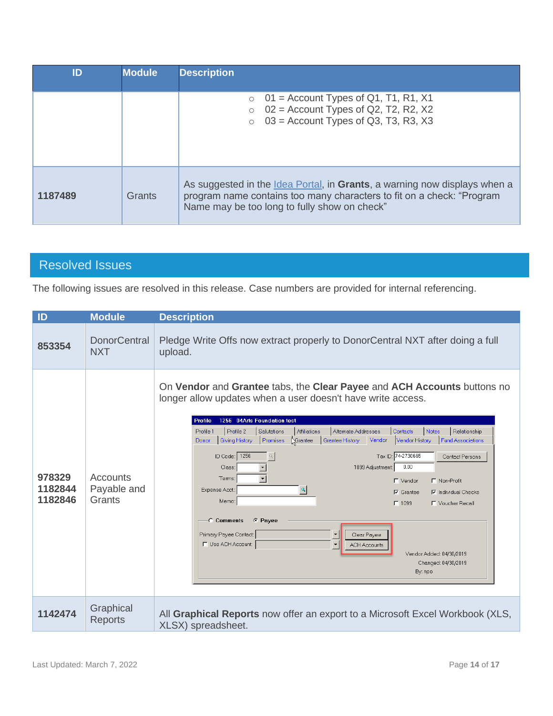| ID      | <b>Module</b> | <b>Description</b>                                                                                                                                                                                                 |
|---------|---------------|--------------------------------------------------------------------------------------------------------------------------------------------------------------------------------------------------------------------|
|         |               | $\circ$ 01 = Account Types of Q1, T1, R1, X1<br>$\circ$ 02 = Account Types of Q2, T2, R2, X2<br>$\circ$ 03 = Account Types of Q3, T3, R3, X3                                                                       |
| 1187489 | Grants        | As suggested in the <u>Idea Portal</u> , in <b>Grants</b> , a warning now displays when a<br>program name contains too many characters to fit on a check: "Program<br>Name may be too long to fully show on check" |

## <span id="page-13-0"></span>Resolved Issues

The following issues are resolved in this release. Case numbers are provided for internal referencing.

| ID                           | <b>Module</b>                     | <b>Description</b>                                                                                                                                                                                                                                                                                                                                                                                                                                                                                                                                                                                                                                                                                                                                                                                                                                                                                                                                                                                              |
|------------------------------|-----------------------------------|-----------------------------------------------------------------------------------------------------------------------------------------------------------------------------------------------------------------------------------------------------------------------------------------------------------------------------------------------------------------------------------------------------------------------------------------------------------------------------------------------------------------------------------------------------------------------------------------------------------------------------------------------------------------------------------------------------------------------------------------------------------------------------------------------------------------------------------------------------------------------------------------------------------------------------------------------------------------------------------------------------------------|
| 853354                       | <b>DonorCentral</b><br><b>NXT</b> | Pledge Write Offs now extract properly to DonorCentral NXT after doing a full<br>upload.                                                                                                                                                                                                                                                                                                                                                                                                                                                                                                                                                                                                                                                                                                                                                                                                                                                                                                                        |
| 978329<br>1182844<br>1182846 | Accounts<br>Payable and<br>Grants | On Vendor and Grantee tabs, the Clear Payee and ACH Accounts buttons no<br>longer allow updates when a user doesn't have write access.<br>1256 04Arts Foundation test<br>Profile<br>Profile 1<br>Profile 2<br>Salutations<br>Alternate Addresses<br>Notes<br>Affiliations<br>Contacts<br>Relationship<br>Promises<br>Grantee<br><b>Fund Associations</b><br><b>Giving History</b><br>Grantee History<br>Vendor<br>Vendor History<br>Donor<br>ID Code: 1256<br>Tax ID: 74-2730665<br>$\mathcal{Q}_\text{s}$<br>Contact Persons<br>0.00<br>1099 Adjustment<br>Class:<br>$\mathbf{r}$<br>Terms:<br>□ Vendor<br>□ Non-Profit<br>Expense Acct.:<br>$\mathcal{D}_\mathbf{a}$<br>$\nabla$ Grantee<br>$\nabla$ Individual Checks<br>Memo:<br>$\Gamma$ 1099<br>Noucher Recall<br><b>C</b> Pavee<br><b>C</b> Comments<br>Primary Payee Contact:<br>$\blacktriangledown$<br>Clear Payee<br>F Use ACH Account:<br>$\blacktriangledown$<br><b>ACH Accounts</b><br>Vendor Added: 04/30/2019<br>Changed: 04/30/2019<br>By: npo |
| 1142474                      | Graphical<br><b>Reports</b>       | All Graphical Reports now offer an export to a Microsoft Excel Workbook (XLS,<br>XLSX) spreadsheet.                                                                                                                                                                                                                                                                                                                                                                                                                                                                                                                                                                                                                                                                                                                                                                                                                                                                                                             |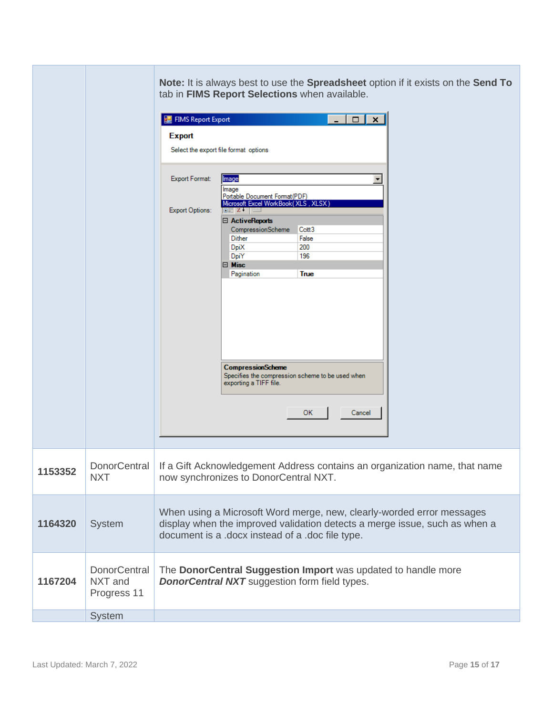|         |                                               | Note: It is always best to use the Spreadsheet option if it exists on the Send To<br>tab in FIMS Report Selections when available.<br>FIMS Report Export<br>$\Box$<br>$\mathbf{x}$<br><b>Export</b><br>Select the export file format options<br>Export Format:<br>Image<br>$\blacktriangledown$<br>Image<br>Portable Document Format (PDF)<br>Microsoft Excel WorkBook(XLS, XLSX)<br><b>Export Options:</b><br>$\mathbb{R}^n$ z $\mathbb{R}^n$<br>日 ActiveReports<br>CompressionScheme<br>Ccitt <sub>3</sub><br><b>Dither</b><br>False<br><b>DpiX</b><br>200<br>DpiY<br>196<br>□ Misc<br>True<br>Pagination<br><b>CompressionScheme</b><br>Specifies the compression scheme to be used when<br>exporting a TIFF file.<br>ок<br>Cancel |
|---------|-----------------------------------------------|---------------------------------------------------------------------------------------------------------------------------------------------------------------------------------------------------------------------------------------------------------------------------------------------------------------------------------------------------------------------------------------------------------------------------------------------------------------------------------------------------------------------------------------------------------------------------------------------------------------------------------------------------------------------------------------------------------------------------------------|
|         |                                               |                                                                                                                                                                                                                                                                                                                                                                                                                                                                                                                                                                                                                                                                                                                                       |
| 1153352 | <b>NXT</b>                                    | DonorCentral   If a Gift Acknowledgement Address contains an organization name, that name<br>now synchronizes to DonorCentral NXT.                                                                                                                                                                                                                                                                                                                                                                                                                                                                                                                                                                                                    |
| 1164320 | System                                        | When using a Microsoft Word merge, new, clearly-worded error messages<br>display when the improved validation detects a merge issue, such as when a<br>document is a .docx instead of a .doc file type.                                                                                                                                                                                                                                                                                                                                                                                                                                                                                                                               |
| 1167204 | <b>DonorCentral</b><br>NXT and<br>Progress 11 | The DonorCentral Suggestion Import was updated to handle more<br><b>DonorCentral NXT</b> suggestion form field types.                                                                                                                                                                                                                                                                                                                                                                                                                                                                                                                                                                                                                 |
|         | System                                        |                                                                                                                                                                                                                                                                                                                                                                                                                                                                                                                                                                                                                                                                                                                                       |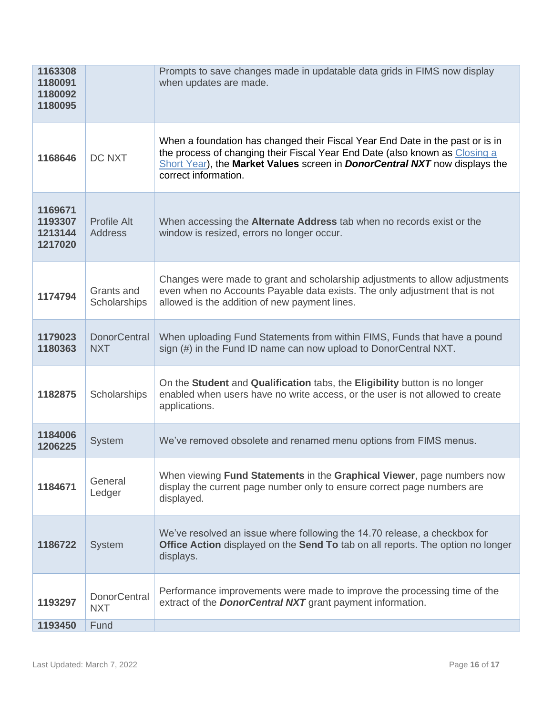| 1163308<br>1180091<br>1180092<br>1180095 |                                      | Prompts to save changes made in updatable data grids in FIMS now display<br>when updates are made.                                                                                                                                                                        |
|------------------------------------------|--------------------------------------|---------------------------------------------------------------------------------------------------------------------------------------------------------------------------------------------------------------------------------------------------------------------------|
| 1168646                                  | DC NXT                               | When a foundation has changed their Fiscal Year End Date in the past or is in<br>the process of changing their Fiscal Year End Date (also known as Closing a<br>Short Year), the Market Values screen in <i>DonorCentral NXT</i> now displays the<br>correct information. |
| 1169671<br>1193307<br>1213144<br>1217020 | <b>Profile Alt</b><br><b>Address</b> | When accessing the <b>Alternate Address</b> tab when no records exist or the<br>window is resized, errors no longer occur.                                                                                                                                                |
| 1174794                                  | Grants and<br>Scholarships           | Changes were made to grant and scholarship adjustments to allow adjustments<br>even when no Accounts Payable data exists. The only adjustment that is not<br>allowed is the addition of new payment lines.                                                                |
| 1179023<br>1180363                       | <b>DonorCentral</b><br><b>NXT</b>    | When uploading Fund Statements from within FIMS, Funds that have a pound<br>sign (#) in the Fund ID name can now upload to DonorCentral NXT.                                                                                                                              |
| 1182875                                  | Scholarships                         | On the Student and Qualification tabs, the Eligibility button is no longer<br>enabled when users have no write access, or the user is not allowed to create<br>applications.                                                                                              |
| 1184006<br>1206225                       | <b>System</b>                        | We've removed obsolete and renamed menu options from FIMS menus.                                                                                                                                                                                                          |
| 1184671                                  | General<br>Ledger                    | When viewing <b>Fund Statements</b> in the <b>Graphical Viewer</b> , page numbers now<br>display the current page number only to ensure correct page numbers are<br>displayed.                                                                                            |
| 1186722                                  | <b>System</b>                        | We've resolved an issue where following the 14.70 release, a checkbox for<br><b>Office Action</b> displayed on the <b>Send To</b> tab on all reports. The option no longer<br>displays.                                                                                   |
| 1193297                                  | <b>DonorCentral</b><br><b>NXT</b>    | Performance improvements were made to improve the processing time of the<br>extract of the <b>DonorCentral NXT</b> grant payment information.                                                                                                                             |
| 1193450                                  | Fund                                 |                                                                                                                                                                                                                                                                           |